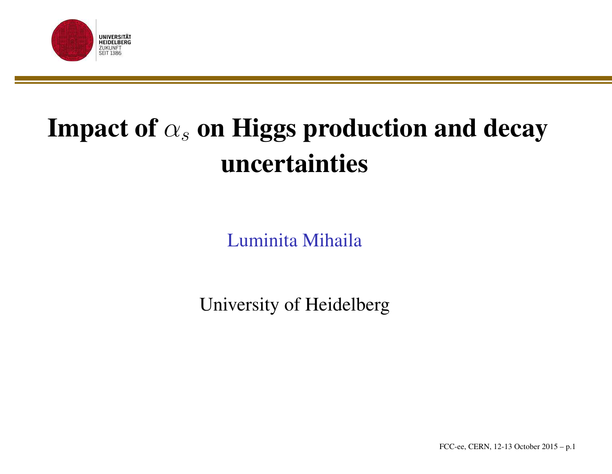

## Impact of  $\alpha_s$  on Higgs production and decay uncertainties

Luminita Mihaila

University of Heidelberg

FCC-ee, CERN, 12-13 October 2015 – p.1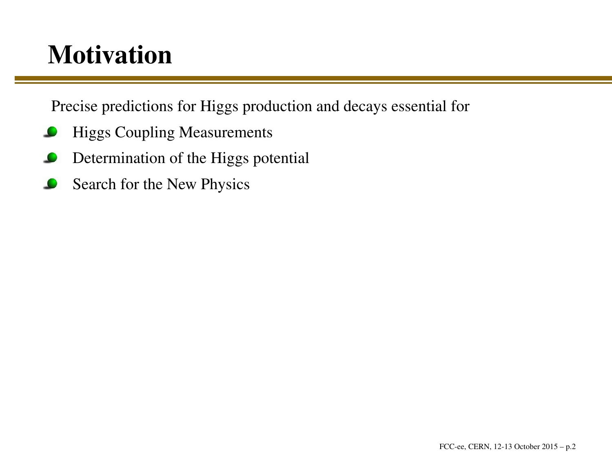#### **Motivation**

Precise predictions for Higgs production and decays essential for

- Higgs Coupling Measurements
- Determination of the Higgs potential
- Search for the New Physics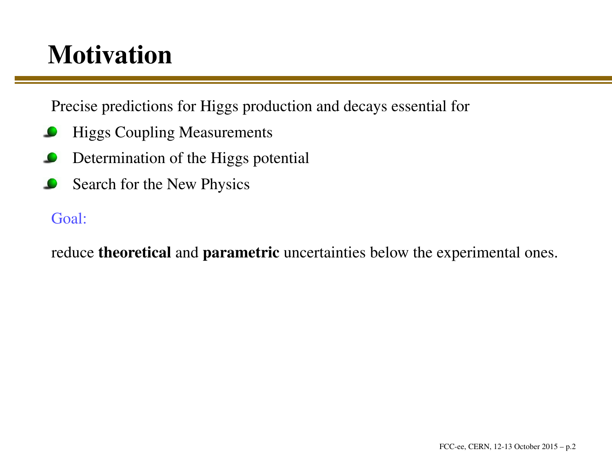#### **Motivation**

Precise predictions for Higgs production and decays essential for

- Higgs Coupling Measurements
- Determination of the Higgs potential
- Search for the New Physics

#### Goal:

reduce **theoretical** and **parametric** uncertainties below the experimental ones.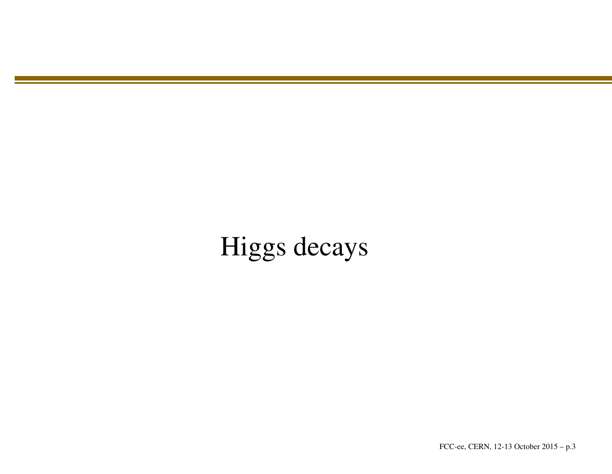#### Higgs decays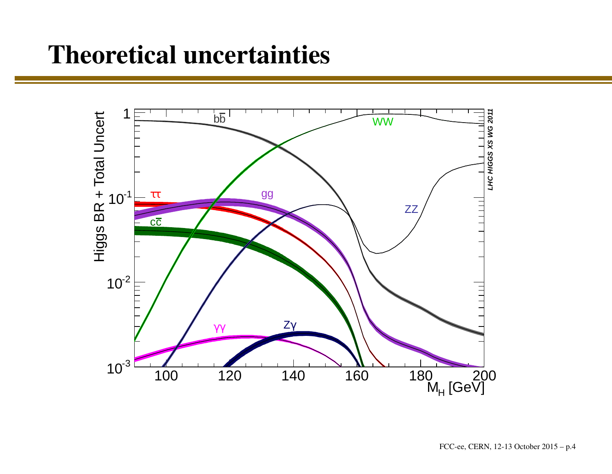#### Theoretical uncertainties

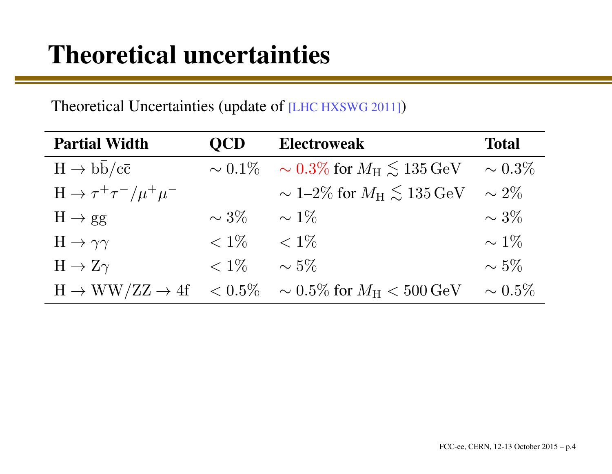#### Theoretical Uncertainties (update of [LHC HXSWG 2011])

| <b>Partial Width</b>                        | <b>OCD</b>   | <b>Electroweak</b>                                          | <b>Total</b> |
|---------------------------------------------|--------------|-------------------------------------------------------------|--------------|
| $H \rightarrow b\overline{b}/c\overline{c}$ | $\sim 0.1\%$ | $\sim 0.3\%$ for $M_{\rm H} \lesssim 135\,{\rm GeV}$        | $\sim 0.3\%$ |
| $H \rightarrow \tau^+ \tau^- / \mu^+ \mu^-$ |              | $\sim 1\text{-}2\%$ for $M_{\rm H} \lesssim 135\,{\rm GeV}$ | $\sim 2\%$   |
| $H \rightarrow gg$                          | $\sim 3\%$   | $\sim 1\%$                                                  | $\sim 3\%$   |
| $H \rightarrow \gamma \gamma$               | $< 1\%$      | $< 1\%$                                                     | $\sim 1\%$   |
| $H \to Z\gamma$                             | $< 1\%$      | $\sim 5\%$                                                  | $\sim 5\%$   |
| $H \rightarrow WW/ZZ \rightarrow 4f$        | $< 0.5\%$    | $\sim 0.5\%$ for $M_{\rm H} < 500$ GeV                      | $\sim 0.5\%$ |
|                                             |              |                                                             |              |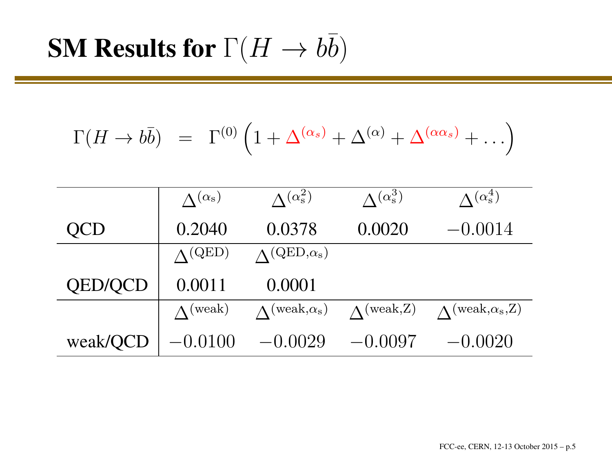$$
\Gamma(H \to b\bar{b}) = \Gamma^{(0)}\left(1 + \Delta^{(\alpha_s)} + \Delta^{(\alpha)} + \Delta^{(\alpha_{\alpha_s})} + \ldots\right)
$$

|                | $\Lambda^{(\alpha_s)}$ | $\Lambda^{(\alpha_s^2)}$       | $\Lambda^{(\alpha_s^3)}$ | $\Lambda^{(\alpha_s^4)}$         |
|----------------|------------------------|--------------------------------|--------------------------|----------------------------------|
| QCD            | 0.2040                 | 0.0378                         | 0.0020                   | $-0.0014$                        |
|                | $\Lambda$ (QED)        | $\Lambda^{\rm (QED,\alpha_s)}$ |                          |                                  |
| <b>QED/QCD</b> | 0.0011                 | 0.0001                         |                          |                                  |
|                | $\Lambda$ (weak)       | $\Lambda$ (weak, $\alpha_s$ )  | $\Lambda$ (weak, Z)      | $\Lambda$ (weak, $\alpha_s$ , Z) |
| weak/QCD       | $-0.0100$              | $-0.0029$                      | $-0.0097$                | $-0.0020$                        |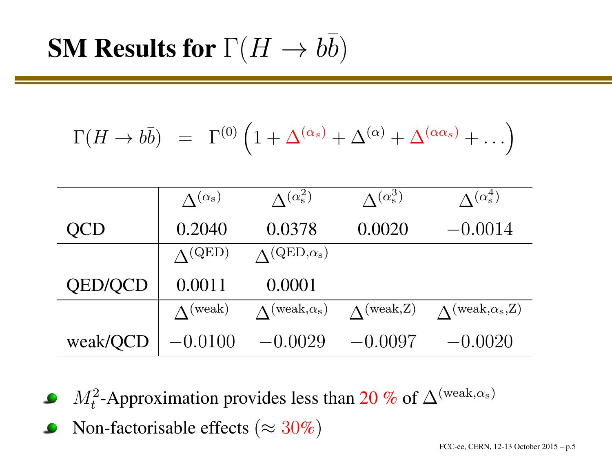$$
\Gamma(H \to b\bar{b}) = \Gamma^{(0)}\left(1 + \Delta^{(\alpha_s)} + \Delta^{(\alpha)} + \Delta^{(\alpha_{\alpha_s})} + \ldots\right)
$$

|                | $\Lambda^{(\alpha_s)}$ | $\Lambda^{(\alpha_s^2)}$            | $\Lambda^{(\alpha_s^3)}$ | $\Lambda^{(\alpha_s^4)}$               |
|----------------|------------------------|-------------------------------------|--------------------------|----------------------------------------|
| <b>QCD</b>     | 0.2040                 | 0.0378                              | 0.0020                   | $-0.0014$                              |
|                | $\Lambda^{\rm (QED)}$  | $\Lambda^{\rm (QED,\alpha_s)}$      |                          |                                        |
| <b>QED/QCD</b> | 0.0011                 | 0.0001                              |                          |                                        |
|                | $\Lambda$ (weak)       | $\Lambda$ (weak, $\alpha_{\rm s}$ ) | $\Lambda$ (weak, Z)      | $\Lambda^{(\text{weak},\alpha_{s},Z)}$ |
| weak/QCD       | $-(0.0100)$            | $-0.0029$                           | $-0.0097$                | $-0.0020$                              |

- $M_t^2$ -Approximation provides less than 20 % of  $\Delta^{\text{(weak},\alpha_s)}$
- Non-factorisable effects ( $\approx 30\%)$  $\bullet$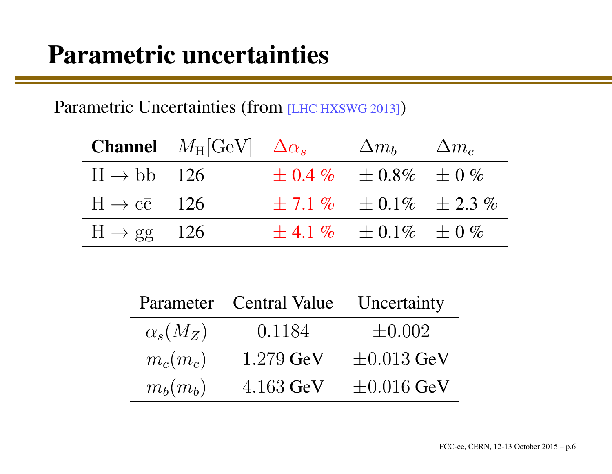#### Parametric uncertainties

Parametric Uncertainties (from [LHC HXSWG 2013])

|                              | <b>Channel</b> $M_H[\text{GeV}]$ $\Delta \alpha_s$ | $\Delta m_b$ $\Delta m_c$           |  |
|------------------------------|----------------------------------------------------|-------------------------------------|--|
| $H \rightarrow bb$ 126       |                                                    | $\pm 0.4\%$ $\pm 0.8\%$ $\pm 0\%$   |  |
| $H \rightarrow c\bar{c}$ 126 |                                                    | $\pm 7.1\%$ $\pm 0.1\%$ $\pm 2.3\%$ |  |
| $H \rightarrow gg$ 126       |                                                    | $\pm$ 4.1 % $\pm$ 0.1% $\pm$ 0 %    |  |
|                              |                                                    |                                     |  |

|                 | Parameter Central Value | Uncertainty     |
|-----------------|-------------------------|-----------------|
| $\alpha_s(M_Z)$ | 0.1184                  | $\pm 0.002$     |
| $m_c(m_c)$      | $1.279 \text{ GeV}$     | $\pm 0.013$ GeV |
| $m_b(m_b)$      | 4.163 GeV               | $\pm 0.016$ GeV |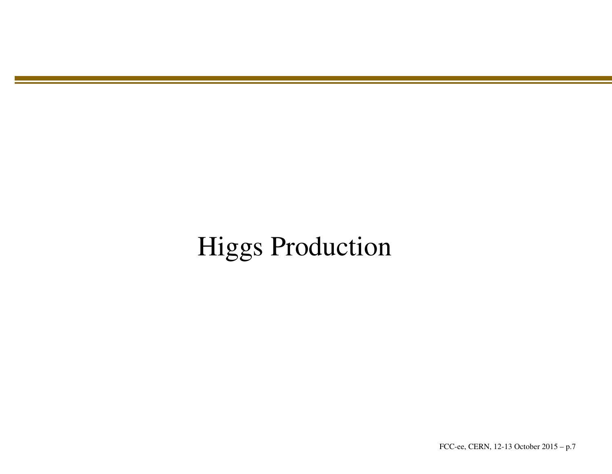#### Higgs Production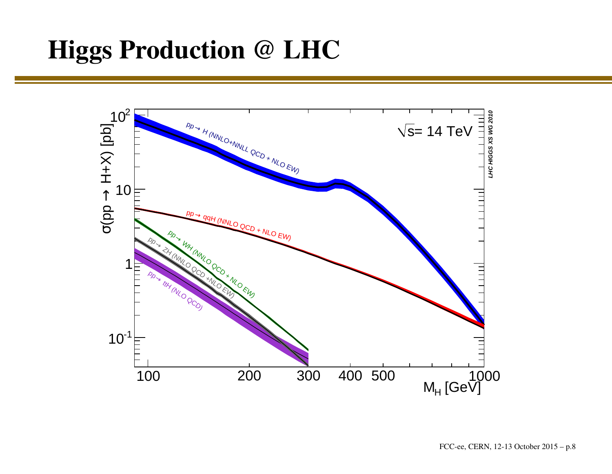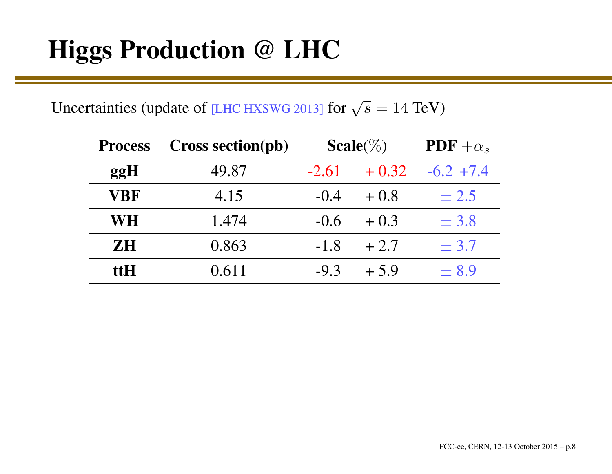Uncertainties (update of [LHC HXSWG 2013] for  $\sqrt{s} = 14$  TeV)

| <b>Process</b> | <b>Cross section(pb)</b> |         | Scale( $\%$ ) | $PDF + \alpha_s$ |
|----------------|--------------------------|---------|---------------|------------------|
| ggH            | 49.87                    | $-2.61$ | $+0.32$       | $-6.2$ +7.4      |
| <b>VBF</b>     | 4.15                     | $-0.4$  | $+0.8$        | $\pm 2.5$        |
| <b>WH</b>      | 1.474                    | $-0.6$  | $+0.3$        | $\pm$ 3.8        |
| <b>ZH</b>      | 0.863                    | $-1.8$  | $+2.7$        | $\pm$ 3.7        |
| ttH.           | 0.611                    | $-9.3$  | $+5.9$        | ± 8.9            |
|                |                          |         |               |                  |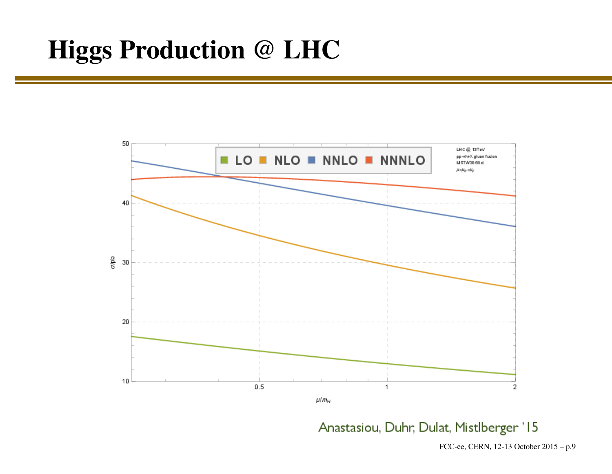

Anastasiou, Duhr, Dulat, Mistlberger '15

FCC-ee, CERN, 12-13 October 2015 – p.9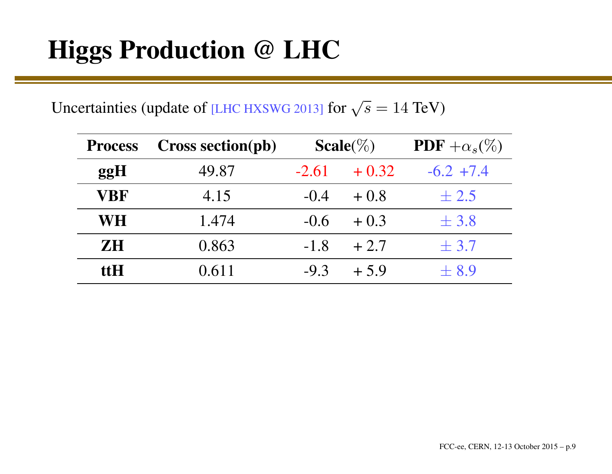Uncertainties (update of [LHC HXSWG 2013] for  $\sqrt{s} = 14$  TeV)

| <b>Process</b> | Cross section(pb) | $Scale(\%)$ |         | $PDF + \alpha_s(\%)$ |
|----------------|-------------------|-------------|---------|----------------------|
| ggH            | 49.87             | $-2.61$     | $+0.32$ | $-6.2$ +7.4          |
| VBF            | 4.15              | $-0.4$      | $+0.8$  | $\pm 2.5$            |
| WH             | 1.474             | $-0.6$      | $+0.3$  | $\pm$ 3.8            |
| <b>ZH</b>      | 0.863             | $-1.8$      | $+2.7$  | $\pm$ 3.7            |
| ttH            | 0.611             | $-9.3$      | $+5.9$  | $\pm 8.9$            |
|                |                   |             |         |                      |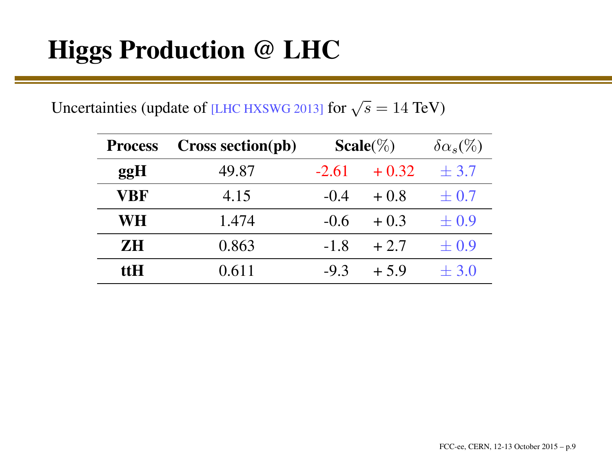Uncertainties (update of [LHC HXSWG 2013] for  $\sqrt{s} = 14$  TeV)

| <b>Process</b> | <b>Cross section(pb)</b> | Scale( $\%$ ) |         | $\delta \alpha_s$ (%) |
|----------------|--------------------------|---------------|---------|-----------------------|
| ggH            | 49.87                    | $-2.61$       | $+0.32$ | $\pm$ 3.7             |
| <b>VBF</b>     | 4.15                     | $-0.4$        | $+0.8$  | $\pm 0.7$             |
| <b>WH</b>      | 1.474                    | $-0.6$        | $+0.3$  | $\pm 0.9$             |
| <b>ZH</b>      | 0.863                    | $-1.8$        | $+2.7$  | $\pm 0.9$             |
| <b>ttH</b>     | 0.611                    | $-9.3$        | $+5.9$  | $\pm$ 3.0             |
|                |                          |               |         |                       |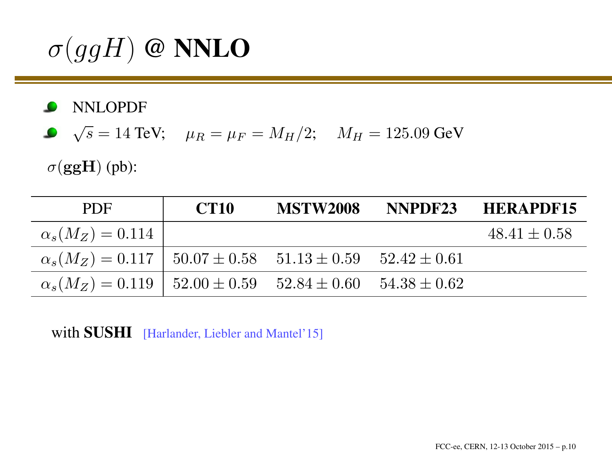$\sigma(ggH)$  @ NNLO

NNLOPDF

$$
\bullet
$$
  $\sqrt{s} = 14 \text{ TeV};$   $\mu_R = \mu_F = M_H/2;$   $M_H = 125.09 \text{ GeV}$ 

 $\sigma(\mathbf{g}\mathbf{g}\mathbf{H})$  (pb):

| <b>PDF</b>                                                    | <b>CT10</b> | <b>MSTW2008</b> |                  | NNPDF23 HERAPDF15 |
|---------------------------------------------------------------|-------------|-----------------|------------------|-------------------|
| $\alpha_s(M_Z) = 0.114$                                       |             |                 |                  | $48.41 \pm 0.58$  |
| $\alpha_s(M_Z) = 0.117 \pm 50.07 \pm 0.58 \pm 51.13 \pm 0.59$ |             |                 | $52.42 \pm 0.61$ |                   |
| $\alpha_s(M_Z) = 0.119 \pm 52.00 \pm 0.59 \pm 52.84 \pm 0.60$ |             |                 | $54.38 \pm 0.62$ |                   |

with **SUSHI** [Harlander, Liebler and Mantel'15]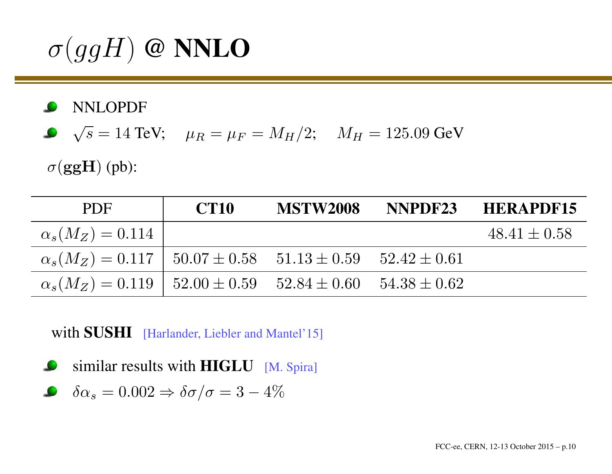$\sigma(ggH)$  @ NNLO

NNLOPDF

$$
\sqrt{s} = 14 \text{ TeV};
$$
  $\mu_R = \mu_F = M_H/2;$   $M_H = 125.09 \text{ GeV}$ 

 $\sigma(\mathbf{g}\mathbf{g}\mathbf{H})$  (pb):

| <b>PDF</b>                                                                       | <b>CT10</b> | <b>MSTW2008</b> | NNPDF23 | <b>HERAPDF15</b> |
|----------------------------------------------------------------------------------|-------------|-----------------|---------|------------------|
| $\alpha_s(M_Z) = 0.114$                                                          |             |                 |         | $48.41 \pm 0.58$ |
| $\alpha_s(M_Z) = 0.117 \pm 50.07 \pm 0.58 \pm 51.13 \pm 0.59 \pm 52.42 \pm 0.61$ |             |                 |         |                  |
| $\alpha_s(M_Z) = 0.119$   $52.00 \pm 0.59$ $52.84 \pm 0.60$ $54.38 \pm 0.62$     |             |                 |         |                  |

with **SUSHI** [Harlander, Liebler and Mantel'15]

similar results with  $\bf{HIGLU}$  [M. Spira]

$$
\delta \alpha_s = 0.002 \Rightarrow \delta \sigma / \sigma = 3 - 4\%
$$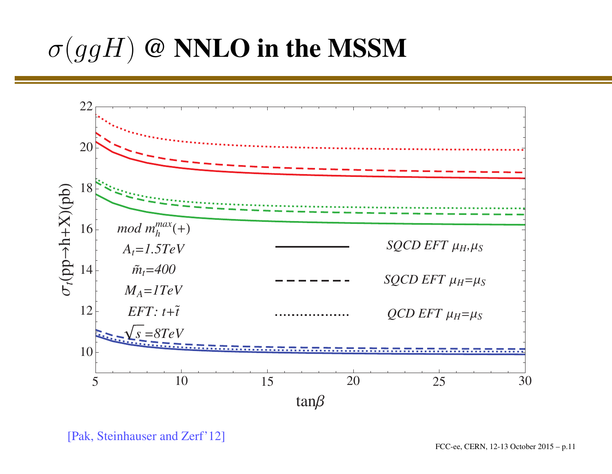# $\sigma(ggH)$  @ NNLO in the MSSM



[Pak, Steinhauser and Zerf'12]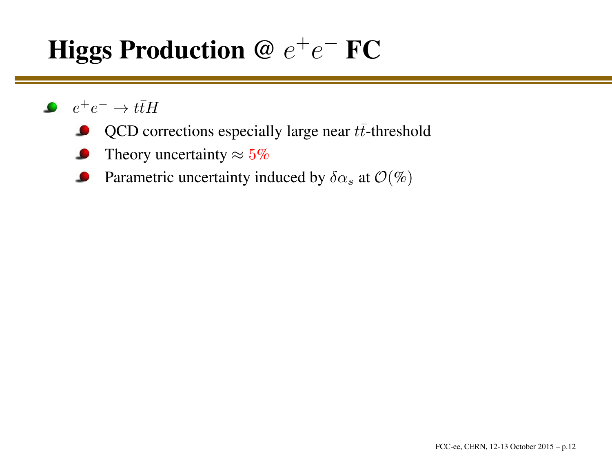#### Higgs Production @  $e$  $\, + \,$  $^+e^-$  FC

- $e^+e^-\to t\bar t H$ 
	- QCD corrections especially large near  $t\bar{t}$ -threshold
	- Theory uncertainty  $\approx 5\%$
	- Parametric uncertainty induced by  $\delta \alpha_s$  at  $\mathcal{O}(\%)$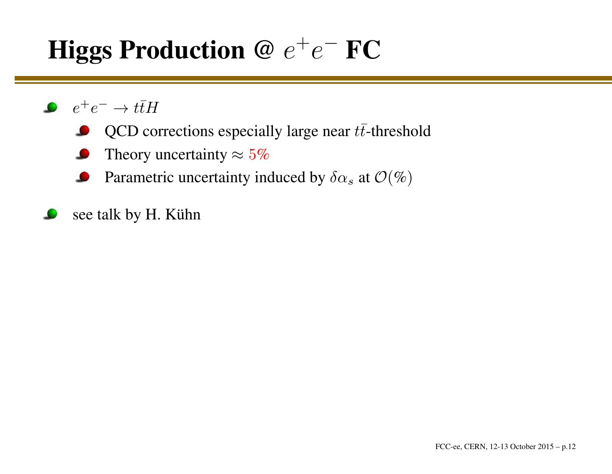#### Higgs Production @  $e$  $\, + \,$  $e^-$  FC

- $e^+e^-\to t\bar t H$ 
	- QCD corrections especially large near  $t\bar{t}$ -threshold
	- Theory uncertainty  $\approx 5\%$
	- Parametric uncertainty induced by  $\delta \alpha_s$  at  $\mathcal{O}(\%)$
- see talk by H. Kühn